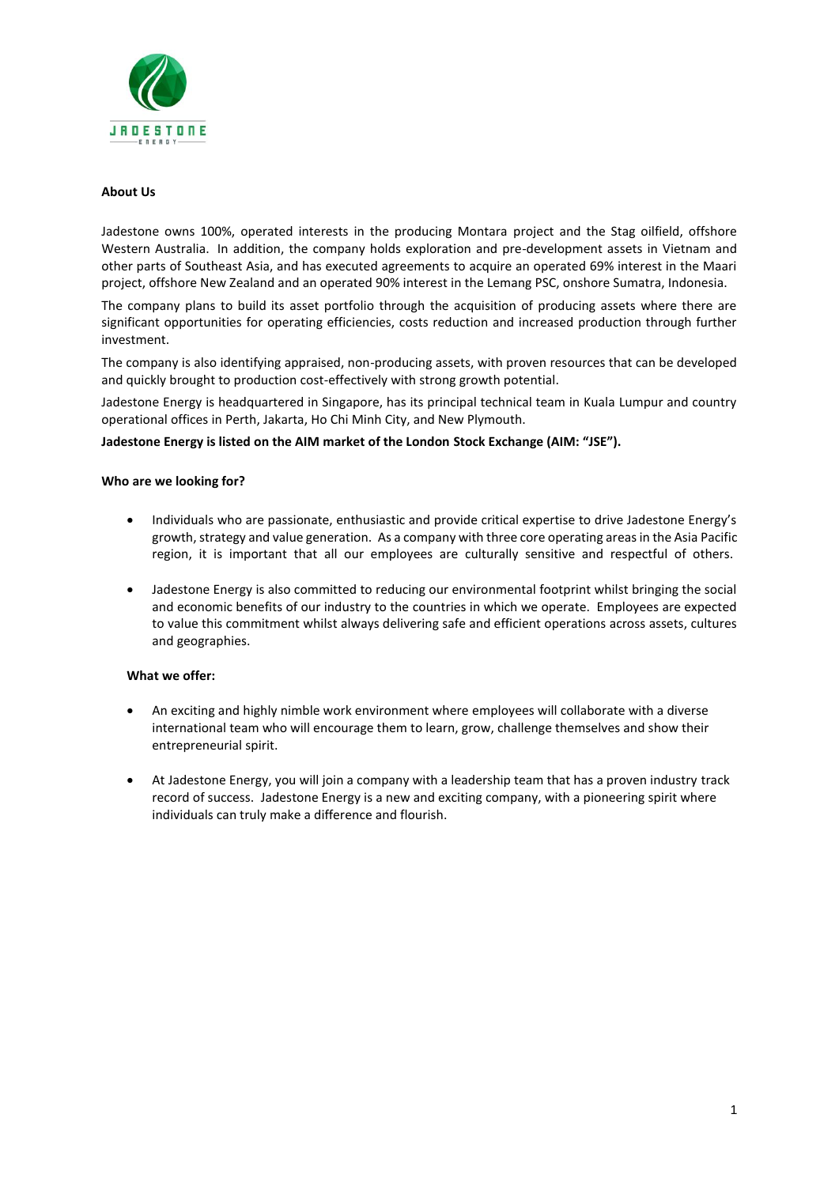

## **About Us**

Jadestone owns 100%, operated interests in the producing Montara project and the Stag oilfield, offshore Western Australia. In addition, the company holds exploration and pre-development assets in Vietnam and other parts of Southeast Asia, and has executed agreements to acquire an operated 69% interest in the Maari project, offshore New Zealand and an operated 90% interest in the Lemang PSC, onshore Sumatra, Indonesia.

The company plans to build its asset portfolio through the acquisition of producing assets where there are significant opportunities for operating efficiencies, costs reduction and increased production through further investment.

The company is also identifying appraised, non-producing assets, with proven resources that can be developed and quickly brought to production cost-effectively with strong growth potential.

Jadestone Energy is headquartered in Singapore, has its principal technical team in Kuala Lumpur and country operational offices in Perth, Jakarta, Ho Chi Minh City, and New Plymouth.

## **Jadestone Energy is listed on the AIM market of the London Stock Exchange (AIM: "JSE").**

## **Who are we looking for?**

- Individuals who are passionate, enthusiastic and provide critical expertise to drive Jadestone Energy's growth, strategy and value generation. As a company with three core operating areas in the Asia Pacific region, it is important that all our employees are culturally sensitive and respectful of others.
- Jadestone Energy is also committed to reducing our environmental footprint whilst bringing the social and economic benefits of our industry to the countries in which we operate. Employees are expected to value this commitment whilst always delivering safe and efficient operations across assets, cultures and geographies.

#### **What we offer:**

- An exciting and highly nimble work environment where employees will collaborate with a diverse international team who will encourage them to learn, grow, challenge themselves and show their entrepreneurial spirit.
- At Jadestone Energy, you will join a company with a leadership team that has a proven industry track record of success. Jadestone Energy is a new and exciting company, with a pioneering spirit where individuals can truly make a difference and flourish.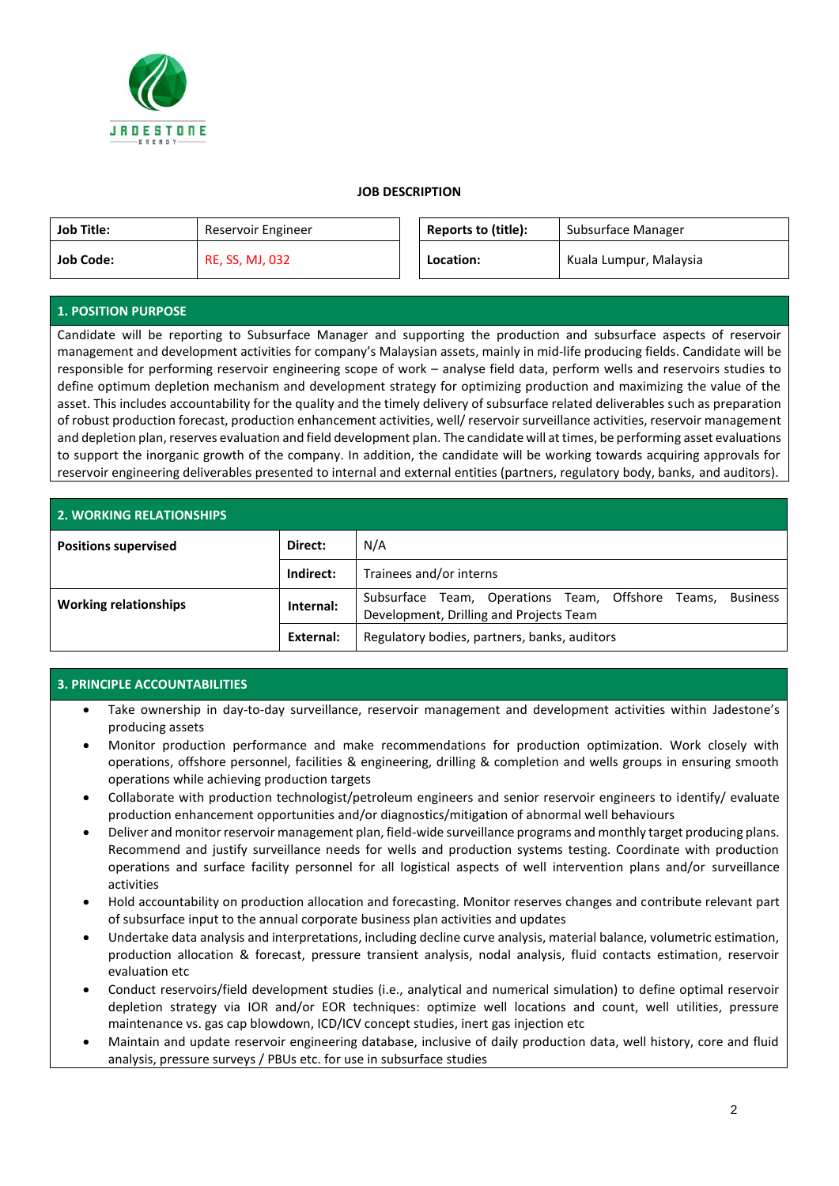

## **JOB DESCRIPTION**

| <b>Job Title:</b> | Reservoir Engineer     | Reports to (title): | Subsurface Manager     |
|-------------------|------------------------|---------------------|------------------------|
| <b>Job Code:</b>  | <b>RE, SS, MJ, 032</b> | Location:           | Kuala Lumpur, Malaysia |

# **1. POSITION PURPOSE**

Candidate will be reporting to Subsurface Manager and supporting the production and subsurface aspects of reservoir management and development activities for company's Malaysian assets, mainly in mid-life producing fields. Candidate will be responsible for performing reservoir engineering scope of work – analyse field data, perform wells and reservoirs studies to define optimum depletion mechanism and development strategy for optimizing production and maximizing the value of the asset. This includes accountability for the quality and the timely delivery of subsurface related deliverables such as preparation of robust production forecast, production enhancement activities, well/ reservoir surveillance activities, reservoir management and depletion plan, reserves evaluation and field development plan. The candidate will at times, be performing asset evaluations to support the inorganic growth of the company. In addition, the candidate will be working towards acquiring approvals for reservoir engineering deliverables presented to internal and external entities (partners, regulatory body, banks, and auditors).

| <b>2. WORKING RELATIONSHIPS</b> |           |                                                                                                          |  |  |  |  |
|---------------------------------|-----------|----------------------------------------------------------------------------------------------------------|--|--|--|--|
| <b>Positions supervised</b>     | Direct:   | N/A                                                                                                      |  |  |  |  |
|                                 | Indirect: | Trainees and/or interns                                                                                  |  |  |  |  |
| <b>Working relationships</b>    | Internal: | Subsurface Team, Operations Team, Offshore Teams,<br>Business<br>Development, Drilling and Projects Team |  |  |  |  |
|                                 | External: | Regulatory bodies, partners, banks, auditors                                                             |  |  |  |  |

# **3. PRINCIPLE ACCOUNTABILITIES**

- Take ownership in day-to-day surveillance, reservoir management and development activities within Jadestone's producing assets
- Monitor production performance and make recommendations for production optimization. Work closely with operations, offshore personnel, facilities & engineering, drilling & completion and wells groups in ensuring smooth operations while achieving production targets
- Collaborate with production technologist/petroleum engineers and senior reservoir engineers to identify/ evaluate production enhancement opportunities and/or diagnostics/mitigation of abnormal well behaviours
- Deliver and monitor reservoir management plan, field-wide surveillance programs and monthly target producing plans. Recommend and justify surveillance needs for wells and production systems testing. Coordinate with production operations and surface facility personnel for all logistical aspects of well intervention plans and/or surveillance activities
- Hold accountability on production allocation and forecasting. Monitor reserves changes and contribute relevant part of subsurface input to the annual corporate business plan activities and updates
- Undertake data analysis and interpretations, including decline curve analysis, material balance, volumetric estimation, production allocation & forecast, pressure transient analysis, nodal analysis, fluid contacts estimation, reservoir evaluation etc
- Conduct reservoirs/field development studies (i.e., analytical and numerical simulation) to define optimal reservoir depletion strategy via IOR and/or EOR techniques: optimize well locations and count, well utilities, pressure maintenance vs. gas cap blowdown, ICD/ICV concept studies, inert gas injection etc
- Maintain and update reservoir engineering database, inclusive of daily production data, well history, core and fluid analysis, pressure surveys / PBUs etc. for use in subsurface studies